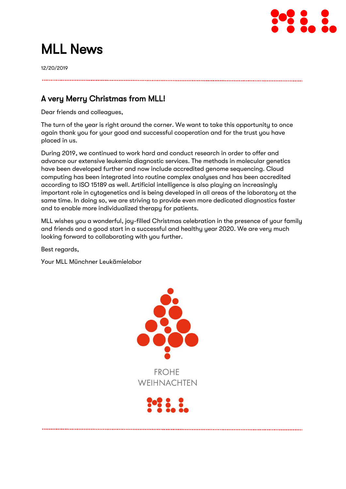

# MLL News

12/20/2019

# A very Merry Christmas from MLL!

Dear friends and colleagues,

The turn of the year is right around the corner. We want to take this opportunity to once again thank you for your good and successful cooperation and for the trust you have placed in us.

During 2019, we continued to work hard and conduct research in order to offer and advance our extensive leukemia diagnostic services. The methods in molecular genetics have been developed further and now include accredited genome sequencing. Cloud computing has been integrated into routine complex analyses and has been accredited according to ISO 15189 as well. Artificial intelligence is also playing an increasingly important role in cytogenetics and is being developed in all areas of the laboratory at the same time. In doing so, we are striving to provide even more dedicated diagnostics faster and to enable more individualized therapy for patients.

MLL wishes you a wonderful, joy-filled Christmas celebration in the presence of your family and friends and a good start in a successful and healthy year 2020. We are very much looking forward to collaborating with you further.

Best regards,

Your MLL Münchner Leukämielabor

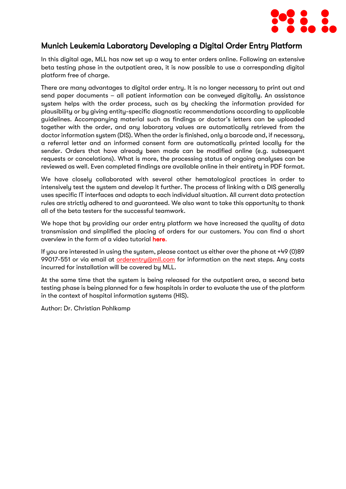

#### Munich Leukemia Laboratory Developing a Digital Order Entry Platform

In this digital age, MLL has now set up a way to enter orders online. Following an extensive beta testing phase in the outpatient area, it is now possible to use a corresponding digital platform free of charge.

There are many advantages to digital order entry. It is no longer necessary to print out and send paper documents – all patient information can be conveyed digitally. An assistance system helps with the order process, such as by checking the information provided for plausibility or by giving entity-specific diagnostic recommendations according to applicable guidelines. Accompanying material such as findings or doctor's letters can be uploaded together with the order, and any laboratory values are automatically retrieved from the doctor information system (DIS). When the order is finished, only a barcode and, if necessary, a referral letter and an informed consent form are automatically printed locally for the sender. Orders that have already been made can be modified online (e.g. subsequent requests or cancelations). What is more, the processing status of ongoing analyses can be reviewed as well. Even completed findings are available online in their entirety in PDF format.

We have closely collaborated with several other hematological practices in order to intensively test the system and develop it further. The process of linking with a DIS generally uses specific IT interfaces and adapts to each individual situation. All current data protection rules are strictly adhered to and guaranteed. We also want to take this opportunity to thank all of the beta testers for the successful teamwork.

We hope that by providing our order entry platform we have increased the quality of data transmission and simplified the placing of orders for our customers. You can find a short overview in the form of a video tutorial [here.](https://vimeo.com/377558246/6f2cffe50a)

If you are interested in using the system, please contact us either over the phone at +49 (0)89 99017-551 or via email at **orderentry**@mll.com for information on the next steps. Any costs incurred for installation will be covered by MLL.

At the same time that the system is being released for the outpatient area, a second beta testing phase is being planned for a few hospitals in order to evaluate the use of the platform in the context of hospital information systems (HIS).

Author: Dr. Christian Pohlkamp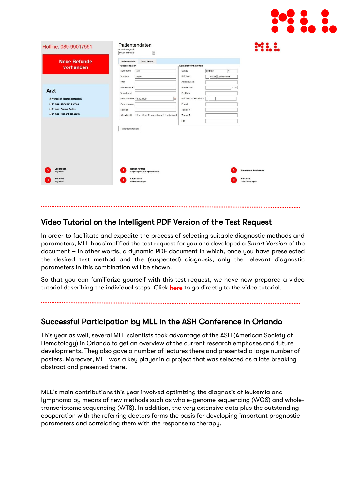

| Hotline: 089-99017551               | Patientendaten<br>Abrechnungsart<br>Privat ambulant                                     |                                  |                                    |
|-------------------------------------|-----------------------------------------------------------------------------------------|----------------------------------|------------------------------------|
| <b>Neue Befunde</b><br>vorhanden    | Versicherung<br>Patientendaten<br>Patientendaten                                        | Kontaktinformationen             |                                    |
|                                     | Nachname<br>Test                                                                        | <b>Straße</b><br>Testalee<br>l1. |                                    |
|                                     | Vorname<br>Tester                                                                       | PLZ / Ort<br>85080 Gaimersheim   |                                    |
|                                     | Titel                                                                                   | Adresszusatz                     |                                    |
|                                     | Namenszusatz                                                                            | Bundesland                       | $\tau$ $\beta$                     |
| Arzt                                | Vorsatzwort                                                                             | Postfach                         |                                    |
| <b>OProfessor Torsten Haferlach</b> | Geburtsdatum 14.12.1999<br>窗                                                            | PLZ / Ort zum Postfach           |                                    |
| ODr. med. Christian Dornes          | Geburtsname                                                                             | E-Mail                           |                                    |
| ODr. med. Frauke Bellos             | Religion                                                                                | Telefon 1                        |                                    |
| ODr. med. Richard Schabath          | $\bigcirc$ w $\circledast$ m $\bigcirc$ unbestimmt $\bigcirc$ unbekannt<br>* Geschlecht | Telefon 2                        |                                    |
|                                     |                                                                                         | Fax                              |                                    |
|                                     | Patient auswählen                                                                       |                                  |                                    |
| Laborbuch<br>Allgemein              | <b>Neuer Auftrag</b><br>Angefangene Aufträge vorhanden                                  |                                  | Standardanforderung                |
| Befunde<br>Allgemein                | Laborbuch<br>Patientenbezogen                                                           |                                  | <b>Befunde</b><br>Patientenbezogen |

#### Video Tutorial on the Intelligent PDF Version of the Test Request

İ,

In order to facilitate and expedite the process of selecting suitable diagnostic methods and parameters, MLL has simplified the test request for you and developed a *Smart Version* of the document – in other words, a dynamic PDF document in which, once you have preselected the desired test method and the (suspected) diagnosis, only the relevant diagnostic parameters in this combination will be shown.

So that you can familiarize yourself with this test request, we have now prepared a video tutorial describing the individual steps. Click [here](https://vimeo.com/377558907/bf2b148889) to go directly to the video tutorial.

### Successful Participation by MLL in the ASH Conference in Orlando

This year as well, several MLL scientists took advantage of the ASH (American Society of Hematology) in Orlando to get an overview of the current research emphases and future developments. They also gave a number of lectures there and presented a large number of posters. Moreover, MLL was a key player in a project that was selected as a late breaking abstract and presented there.

MLL's main contributions this year involved optimizing the diagnosis of leukemia and lymphoma by means of new methods such as whole-genome sequencing (WGS) and wholetranscriptome sequencing (WTS). In addition, the very extensive data plus the outstanding cooperation with the referring doctors forms the basis for developing important prognostic parameters and correlating them with the response to therapy.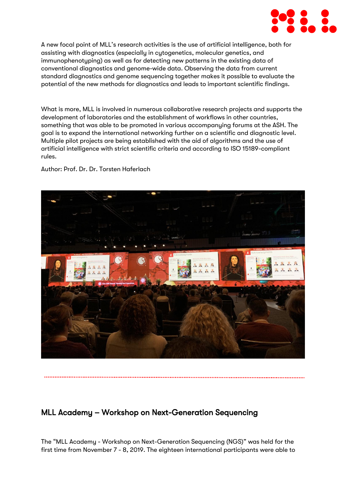

A new focal point of MLL's research activities is the use of artificial intelligence, both for assisting with diagnostics (especially in cytogenetics, molecular genetics, and immunophenotyping) as well as for detecting new patterns in the existing data of conventional diagnostics and genome-wide data. Observing the data from current standard diagnostics and genome sequencing together makes it possible to evaluate the potential of the new methods for diagnostics and leads to important scientific findings.

What is more, MLL is involved in numerous collaborative research projects and supports the development of laboratories and the establishment of workflows in other countries, something that was able to be promoted in various accompanying forums at the ASH. The goal is to expand the international networking further on a scientific and diagnostic level. Multiple pilot projects are being established with the aid of algorithms and the use of artificial intelligence with strict scientific criteria and according to ISO 15189-compliant rules.

Author: Prof. Dr. Dr. Torsten Haferlach



### MLL Academy – Workshop on Next-Generation Sequencing

The "MLL Academy - Workshop on Next-Generation Sequencing (NGS)" was held for the first time from November 7 - 8, 2019. The eighteen international participants were able to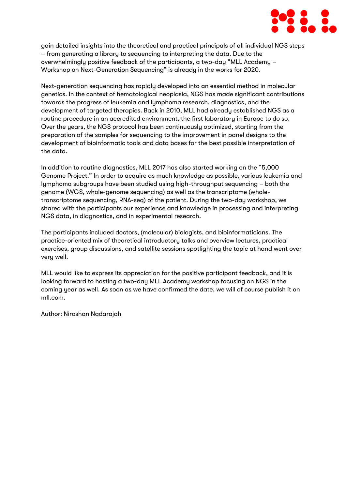

gain detailed insights into the theoretical and practical principals of all individual NGS steps – from generating a library to sequencing to interpreting the data. Due to the overwhelmingly positive feedback of the participants, a two-day "MLL Academy – Workshop on Next-Generation Sequencing" is already in the works for 2020.

Next-generation sequencing has rapidly developed into an essential method in molecular genetics. In the context of hematological neoplasia, NGS has made significant contributions towards the progress of leukemia and lymphoma research, diagnostics, and the development of targeted therapies. Back in 2010, MLL had already established NGS as a routine procedure in an accredited environment, the first laboratory in Europe to do so. Over the years, the NGS protocol has been continuously optimized, starting from the preparation of the samples for sequencing to the improvement in panel designs to the development of bioinformatic tools and data bases for the best possible interpretation of the data.

In addition to routine diagnostics, MLL 2017 has also started working on the "5,000 Genome Project." In order to acquire as much knowledge as possible, various leukemia and lymphoma subgroups have been studied using high-throughput sequencing – both the genome (WGS, whole-genome sequencing) as well as the transcriptome (wholetranscriptome sequencing, RNA-seq) of the patient. During the two-day workshop, we shared with the participants our experience and knowledge in processing and interpreting NGS data, in diagnostics, and in experimental research.

The participants included doctors, (molecular) biologists, and bioinformaticians. The practice-oriented mix of theoretical introductory talks and overview lectures, practical exercises, group discussions, and satellite sessions spotlighting the topic at hand went over very well.

MLL would like to express its appreciation for the positive participant feedback, and it is looking forward to hosting a two-day MLL Academy workshop focusing on NGS in the coming year as well. As soon as we have confirmed the date, we will of course publish it on mll.com.

Author: Niroshan Nadarajah